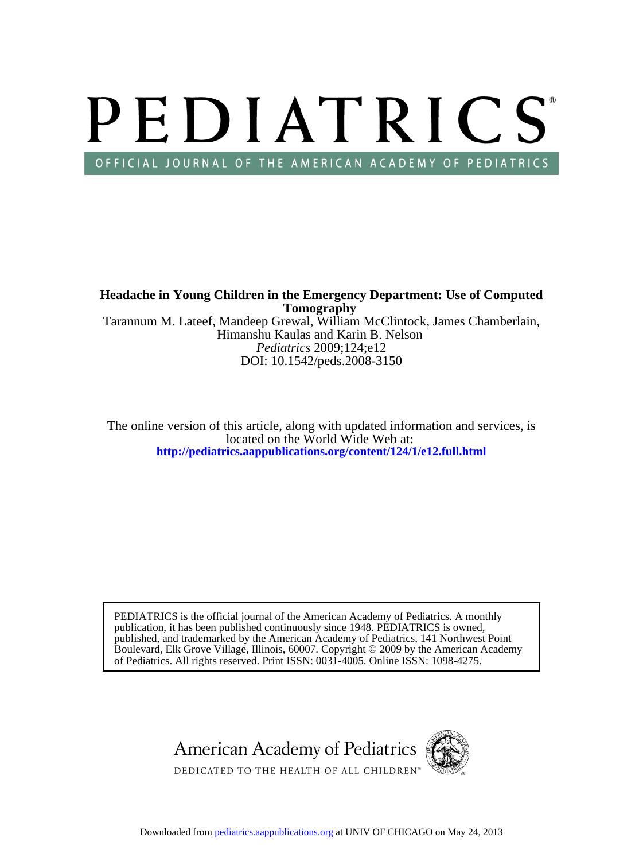# PEDIATRICS OFFICIAL JOURNAL OF THE AMERICAN ACADEMY OF PEDIATRICS

*Pediatrics* 2009;124;e12 Himanshu Kaulas and Karin B. Nelson Tarannum M. Lateef, Mandeep Grewal, William McClintock, James Chamberlain, **Tomography Headache in Young Children in the Emergency Department: Use of Computed**

DOI: 10.1542/peds.2008-3150

**<http://pediatrics.aappublications.org/content/124/1/e12.full.html>** located on the World Wide Web at: The online version of this article, along with updated information and services, is

of Pediatrics. All rights reserved. Print ISSN: 0031-4005. Online ISSN: 1098-4275. Boulevard, Elk Grove Village, Illinois, 60007. Copyright © 2009 by the American Academy published, and trademarked by the American Academy of Pediatrics, 141 Northwest Point publication, it has been published continuously since 1948. PEDIATRICS is owned, PEDIATRICS is the official journal of the American Academy of Pediatrics. A monthly

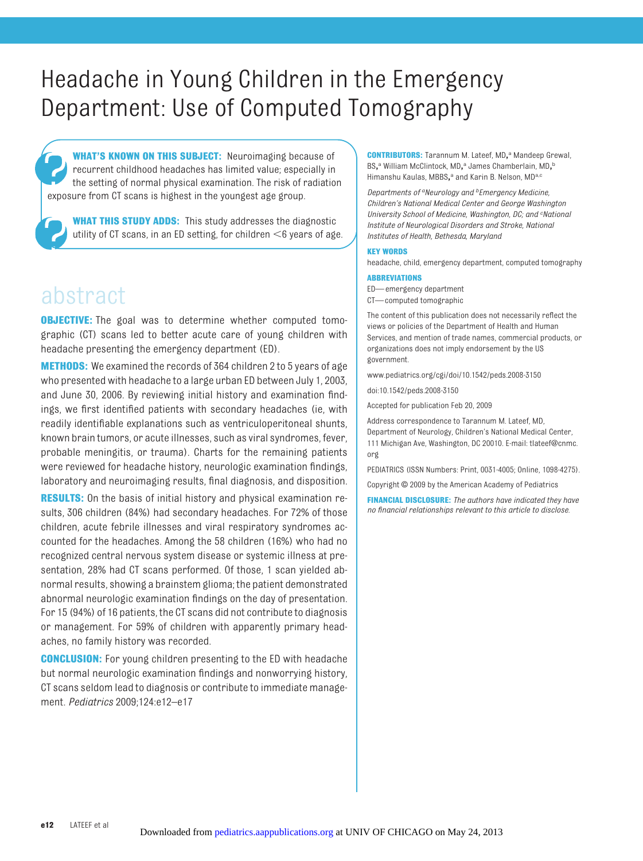# Headache in Young Children in the Emergency Department: Use of Computed Tomography

**WHAT'S KNOWN ON THIS SUBJECT:** Neuroimaging because of recurrent childhood headaches has limited value; especially in the setting of normal physical examination. The risk of radiation exposure from CT scans is highest in the youngest age group.

**WHAT THIS STUDY ADDS:** This study addresses the diagnostic utility of CT scans, in an ED setting, for children  $\leq$ 6 years of age.

# abstract

**OBJECTIVE:** The goal was to determine whether computed tomographic (CT) scans led to better acute care of young children with headache presenting the emergency department (ED).

**METHODS:** We examined the records of 364 children 2 to 5 years of age who presented with headache to a large urban ED between July 1, 2003, and June 30, 2006. By reviewing initial history and examination findings, we first identified patients with secondary headaches (ie, with readily identifiable explanations such as ventriculoperitoneal shunts, known brain tumors, or acute illnesses, such as viral syndromes, fever, probable meningitis, or trauma). Charts for the remaining patients were reviewed for headache history, neurologic examination findings, laboratory and neuroimaging results, final diagnosis, and disposition.

**RESULTS:** On the basis of initial history and physical examination results, 306 children (84%) had secondary headaches. For 72% of those children, acute febrile illnesses and viral respiratory syndromes accounted for the headaches. Among the 58 children (16%) who had no recognized central nervous system disease or systemic illness at presentation, 28% had CT scans performed. Of those, 1 scan yielded abnormal results, showing a brainstem glioma; the patient demonstrated abnormal neurologic examination findings on the day of presentation. For 15 (94%) of 16 patients, the CT scans did not contribute to diagnosis or management. For 59% of children with apparently primary headaches, no family history was recorded.

**CONCLUSION:** For young children presenting to the ED with headache but normal neurologic examination findings and nonworrying history, CT scans seldom lead to diagnosis or contribute to immediate management. *Pediatrics* 2009;124:e12–e17

**CONTRIBUTORS:** Tarannum M. Lateef, MD**,** <sup>a</sup> Mandeep Grewal, BS**,** <sup>a</sup> William McClintock, MD**,** <sup>a</sup> James Chamberlain, MD**,** b Himanshu Kaulas, MBBS**,** <sup>a</sup> and Karin B. Nelson, MDa,c

*Departments of aNeurology and bEmergency Medicine, Children's National Medical Center and George Washington* University School of Medicine, Washington, DC; and <sup>c</sup>National *Institute of Neurological Disorders and Stroke, National Institutes of Health, Bethesda, Maryland*

#### **KEY WORDS**

headache, child, emergency department, computed tomography

**ABBREVIATIONS** ED— emergency department

CT— computed tomographic

The content of this publication does not necessarily reflect the views or policies of the Department of Health and Human Services, and mention of trade names, commercial products, or organizations does not imply endorsement by the US government.

www.pediatrics.org/cgi/doi/10.1542/peds.2008-3150

doi:10.1542/peds.2008-3150

Accepted for publication Feb 20, 2009

Address correspondence to Tarannum M. Lateef, MD, Department of Neurology, Children's National Medical Center, 111 Michigan Ave, Washington, DC 20010. E-mail: tlateef@cnmc. org

PEDIATRICS (ISSN Numbers: Print, 0031-4005; Online, 1098-4275).

Copyright © 2009 by the American Academy of Pediatrics

**FINANCIAL DISCLOSURE:** *The authors have indicated they have no financial relationships relevant to this article to disclose.*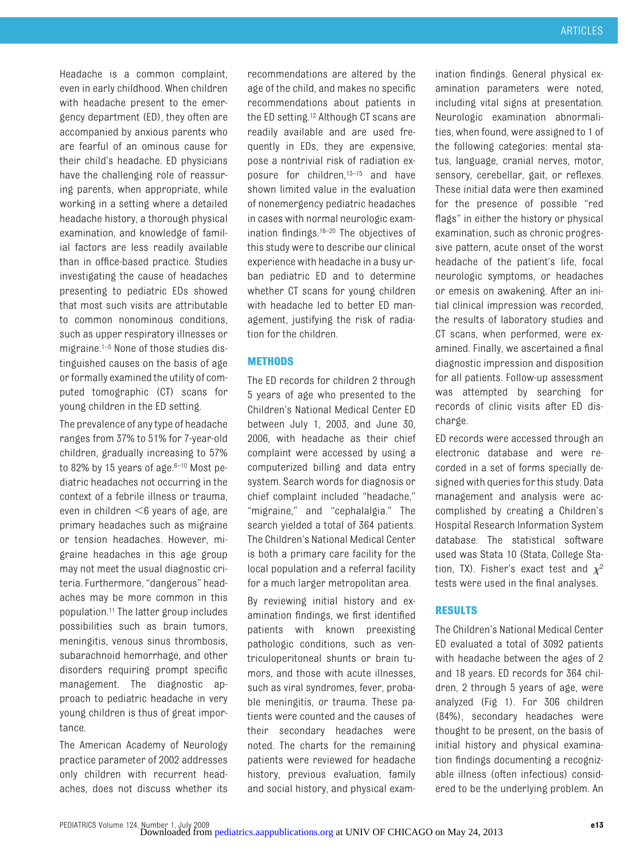Headache is a common complaint, even in early childhood. When children with headache present to the emergency department (ED), they often are accompanied by anxious parents who are fearful of an ominous cause for their child's headache. ED physicians have the challenging role of reassuring parents, when appropriate, while working in a setting where a detailed headache history, a thorough physical examination, and knowledge of familial factors are less readily available than in office-based practice. Studies investigating the cause of headaches presenting to pediatric EDs showed that most such visits are attributable to common nonominous conditions, such as upper respiratory illnesses or migraine.1–5 None of those studies distinguished causes on the basis of age or formally examined the utility of computed tomographic (CT) scans for young children in the ED setting.

The prevalence of any type of headache ranges from 37% to 51% for 7-year-old children, gradually increasing to 57% to 82% by 15 years of age. $6-10$  Most pediatric headaches not occurring in the context of a febrile illness or trauma, even in children  $\leq 6$  years of age, are primary headaches such as migraine or tension headaches. However, migraine headaches in this age group may not meet the usual diagnostic criteria. Furthermore, "dangerous" headaches may be more common in this population.11 The latter group includes possibilities such as brain tumors, meningitis, venous sinus thrombosis, subarachnoid hemorrhage, and other disorders requiring prompt specific management. The diagnostic approach to pediatric headache in very young children is thus of great importance.

The American Academy of Neurology practice parameter of 2002 addresses only children with recurrent headaches, does not discuss whether its

recommendations are altered by the age of the child, and makes no specific recommendations about patients in the ED setting.12 Although CT scans are readily available and are used frequently in EDs, they are expensive, pose a nontrivial risk of radiation exposure for children,13–15 and have shown limited value in the evaluation of nonemergency pediatric headaches in cases with normal neurologic examination findings.16–20 The objectives of this study were to describe our clinical experience with headache in a busy urban pediatric ED and to determine whether CT scans for young children with headache led to better ED management, justifying the risk of radiation for the children.

### **METHODS**

The ED records for children 2 through 5 years of age who presented to the Children's National Medical Center ED between July 1, 2003, and June 30, 2006, with headache as their chief complaint were accessed by using a computerized billing and data entry system. Search words for diagnosis or chief complaint included "headache," "migraine," and "cephalalgia." The search yielded a total of 364 patients. The Children's National Medical Center is both a primary care facility for the local population and a referral facility for a much larger metropolitan area.

By reviewing initial history and examination findings, we first identified patients with known preexisting pathologic conditions, such as ventriculoperitoneal shunts or brain tumors, and those with acute illnesses, such as viral syndromes, fever, probable meningitis, or trauma. These patients were counted and the causes of their secondary headaches were noted. The charts for the remaining patients were reviewed for headache history, previous evaluation, family and social history, and physical examination findings. General physical examination parameters were noted, including vital signs at presentation. Neurologic examination abnormalities, when found, were assigned to 1 of the following categories: mental status, language, cranial nerves, motor, sensory, cerebellar, gait, or reflexes. These initial data were then examined for the presence of possible "red flags" in either the history or physical examination, such as chronic progressive pattern, acute onset of the worst headache of the patient's life, focal neurologic symptoms, or headaches or emesis on awakening. After an initial clinical impression was recorded, the results of laboratory studies and CT scans, when performed, were examined. Finally, we ascertained a final diagnostic impression and disposition for all patients. Follow-up assessment was attempted by searching for records of clinic visits after ED discharge.

ED records were accessed through an electronic database and were recorded in a set of forms specially designed with queries for this study. Data management and analysis were accomplished by creating a Children's Hospital Research Information System database. The statistical software used was Stata 10 (Stata, College Station, TX). Fisher's exact test and  $\chi^2$ tests were used in the final analyses.

### **RESULTS**

The Children's National Medical Center ED evaluated a total of 3092 patients with headache between the ages of 2 and 18 years. ED records for 364 children, 2 through 5 years of age, were analyzed (Fig 1). For 306 children (84%), secondary headaches were thought to be present, on the basis of initial history and physical examination findings documenting a recognizable illness (often infectious) considered to be the underlying problem. An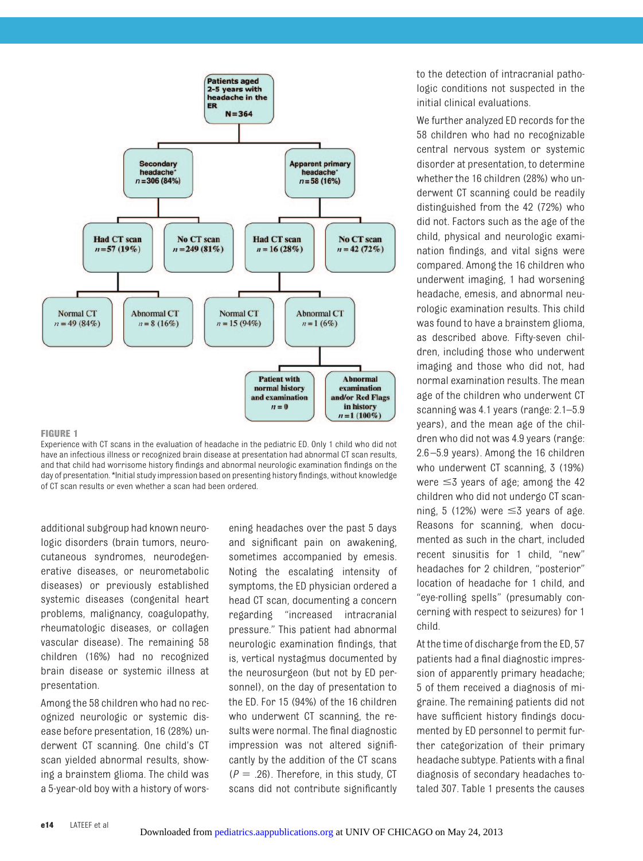

#### **FIGURE 1**

Experience with CT scans in the evaluation of headache in the pediatric ED. Only 1 child who did not have an infectious illness or recognized brain disease at presentation had abnormal CT scan results, and that child had worrisome history findings and abnormal neurologic examination findings on the day of presentation. \*Initial study impression based on presenting history findings, without knowledge of CT scan results or even whether a scan had been ordered.

additional subgroup had known neurologic disorders (brain tumors, neurocutaneous syndromes, neurodegenerative diseases, or neurometabolic diseases) or previously established systemic diseases (congenital heart problems, malignancy, coagulopathy, rheumatologic diseases, or collagen vascular disease). The remaining 58 children (16%) had no recognized brain disease or systemic illness at presentation.

Among the 58 children who had no recognized neurologic or systemic disease before presentation, 16 (28%) underwent CT scanning. One child's CT scan yielded abnormal results, showing a brainstem glioma. The child was a 5-year-old boy with a history of worsening headaches over the past 5 days and significant pain on awakening, sometimes accompanied by emesis. Noting the escalating intensity of symptoms, the ED physician ordered a head CT scan, documenting a concern regarding "increased intracranial pressure." This patient had abnormal neurologic examination findings, that is, vertical nystagmus documented by the neurosurgeon (but not by ED personnel), on the day of presentation to the ED. For 15 (94%) of the 16 children who underwent CT scanning, the results were normal. The final diagnostic impression was not altered significantly by the addition of the CT scans  $(P = .26)$ . Therefore, in this study, CT scans did not contribute significantly

to the detection of intracranial pathologic conditions not suspected in the initial clinical evaluations.

We further analyzed ED records for the 58 children who had no recognizable central nervous system or systemic disorder at presentation, to determine whether the 16 children (28%) who underwent CT scanning could be readily distinguished from the 42 (72%) who did not. Factors such as the age of the child, physical and neurologic examination findings, and vital signs were compared. Among the 16 children who underwent imaging, 1 had worsening headache, emesis, and abnormal neurologic examination results. This child was found to have a brainstem glioma, as described above. Fifty-seven children, including those who underwent imaging and those who did not, had normal examination results. The mean age of the children who underwent CT scanning was 4.1 years (range: 2.1–5.9 years), and the mean age of the children who did not was 4.9 years (range: 2.6 –5.9 years). Among the 16 children who underwent CT scanning, 3 (19%) were  $\leq$ 3 years of age; among the 42 children who did not undergo CT scanning, 5 (12%) were  $\leq$ 3 years of age. Reasons for scanning, when documented as such in the chart, included recent sinusitis for 1 child, "new" headaches for 2 children, "posterior" location of headache for 1 child, and "eye-rolling spells" (presumably concerning with respect to seizures) for 1 child.

At the time of discharge from the ED, 57 patients had a final diagnostic impression of apparently primary headache; 5 of them received a diagnosis of migraine. The remaining patients did not have sufficient history findings documented by ED personnel to permit further categorization of their primary headache subtype. Patients with a final diagnosis of secondary headaches totaled 307. Table 1 presents the causes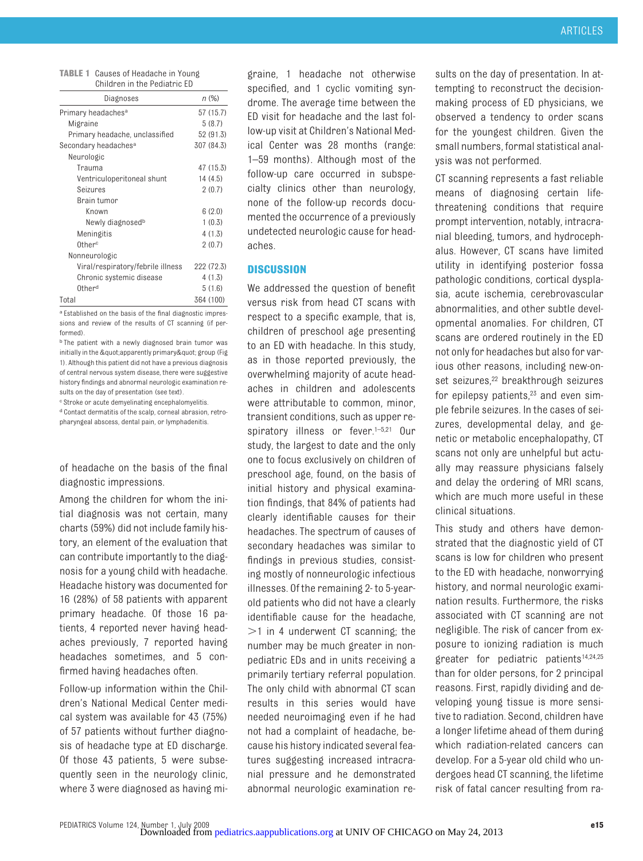**TABLE 1** Causes of Headache in Young Children in the Pediatric ED

| Diagnoses                         | n (%)      |
|-----------------------------------|------------|
| Primary headaches <sup>a</sup>    | 57 (15.7)  |
| Migraine                          | 5(8.7)     |
| Primary headache, unclassified    | 52 (91.3)  |
| Secondary headaches <sup>a</sup>  | 307 (84.3) |
| Neurologic                        |            |
| Trauma                            | 47 (15.3)  |
| Ventriculoperitoneal shunt        | 14 (4.5)   |
| Seizures                          | 2(0.7)     |
| Brain tumor                       |            |
| Known                             | 6(2.0)     |
| Newly diagnosed <sup>b</sup>      | 1(0.3)     |
| Meningitis                        | 4(1.3)     |
| $0$ ther $c$                      | 2(0.7)     |
| Nonneurologic                     |            |
| Viral/respiratory/febrile illness | 222 (72.3) |
| Chronic systemic disease          | 4(1.3)     |
| 0ther <sup>d</sup>                | 5(1.6)     |
| Total                             | 364 (100)  |

a Established on the basis of the final diagnostic impressions and review of the results of CT scanning (if performed).

**b** The patient with a newly diagnosed brain tumor was initially in the "apparently primary" group (Fig 1). Although this patient did not have a previous diagnosis of central nervous system disease, there were suggestive history findings and abnormal neurologic examination results on the day of presentation (see text).

<sup>c</sup> Stroke or acute demyelinating encephalomyelitis.

d Contact dermatitis of the scalp, corneal abrasion, retropharyngeal abscess, dental pain, or lymphadenitis.

of headache on the basis of the final diagnostic impressions.

Among the children for whom the initial diagnosis was not certain, many charts (59%) did not include family history, an element of the evaluation that can contribute importantly to the diagnosis for a young child with headache. Headache history was documented for 16 (28%) of 58 patients with apparent primary headache. Of those 16 patients, 4 reported never having headaches previously, 7 reported having headaches sometimes, and 5 confirmed having headaches often.

Follow-up information within the Children's National Medical Center medical system was available for 43 (75%) of 57 patients without further diagnosis of headache type at ED discharge. Of those 43 patients, 5 were subsequently seen in the neurology clinic, where 3 were diagnosed as having mi-

graine, 1 headache not otherwise specified, and 1 cyclic vomiting syndrome. The average time between the ED visit for headache and the last follow-up visit at Children's National Medical Center was 28 months (range: 1–59 months). Although most of the follow-up care occurred in subspecialty clinics other than neurology, none of the follow-up records documented the occurrence of a previously undetected neurologic cause for headaches.

#### **DISCUSSION**

We addressed the question of benefit versus risk from head CT scans with respect to a specific example, that is, children of preschool age presenting to an ED with headache. In this study, as in those reported previously, the overwhelming majority of acute headaches in children and adolescents were attributable to common, minor, transient conditions, such as upper respiratory illness or fever.<sup>1-5,21</sup> Our study, the largest to date and the only one to focus exclusively on children of preschool age, found, on the basis of initial history and physical examination findings, that 84% of patients had clearly identifiable causes for their headaches. The spectrum of causes of secondary headaches was similar to findings in previous studies, consisting mostly of nonneurologic infectious illnesses. Of the remaining 2- to 5-yearold patients who did not have a clearly identifiable cause for the headache,  $>1$  in 4 underwent CT scanning; the number may be much greater in nonpediatric EDs and in units receiving a primarily tertiary referral population. The only child with abnormal CT scan results in this series would have needed neuroimaging even if he had not had a complaint of headache, because his history indicated several features suggesting increased intracranial pressure and he demonstrated abnormal neurologic examination results on the day of presentation. In attempting to reconstruct the decisionmaking process of ED physicians, we observed a tendency to order scans for the youngest children. Given the small numbers, formal statistical analysis was not performed.

CT scanning represents a fast reliable means of diagnosing certain lifethreatening conditions that require prompt intervention, notably, intracranial bleeding, tumors, and hydrocephalus. However, CT scans have limited utility in identifying posterior fossa pathologic conditions, cortical dysplasia, acute ischemia, cerebrovascular abnormalities, and other subtle developmental anomalies. For children, CT scans are ordered routinely in the ED not only for headaches but also for various other reasons, including new-onset seizures,<sup>22</sup> breakthrough seizures for epilepsy patients, $23$  and even simple febrile seizures. In the cases of seizures, developmental delay, and genetic or metabolic encephalopathy, CT scans not only are unhelpful but actually may reassure physicians falsely and delay the ordering of MRI scans, which are much more useful in these clinical situations.

This study and others have demonstrated that the diagnostic yield of CT scans is low for children who present to the ED with headache, nonworrying history, and normal neurologic examination results. Furthermore, the risks associated with CT scanning are not negligible. The risk of cancer from exposure to ionizing radiation is much greater for pediatric patients<sup>14,24,25</sup> than for older persons, for 2 principal reasons. First, rapidly dividing and developing young tissue is more sensitive to radiation. Second, children have a longer lifetime ahead of them during which radiation-related cancers can develop. For a 5-year old child who undergoes head CT scanning, the lifetime risk of fatal cancer resulting from ra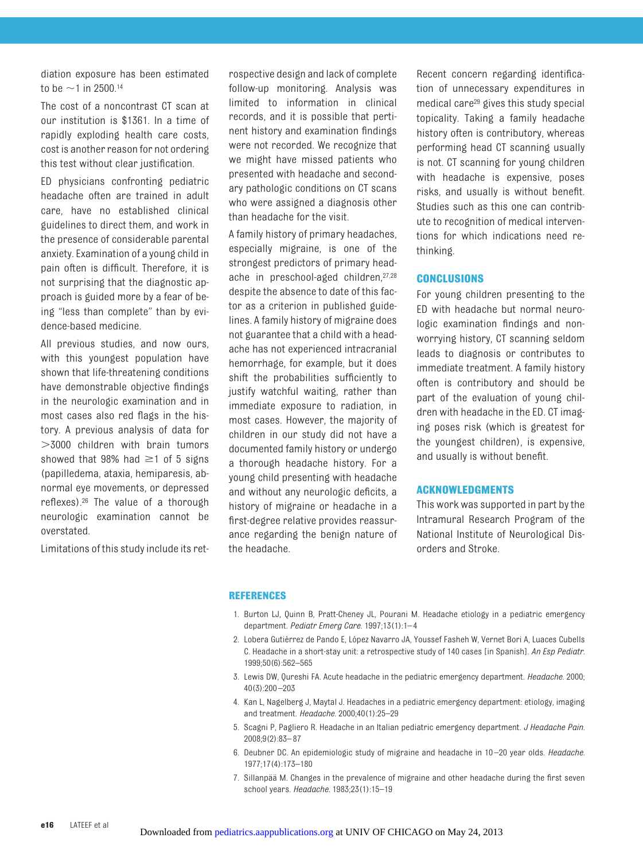diation exposure has been estimated to be  $\sim$  1 in 2500.<sup>14</sup>

The cost of a noncontrast CT scan at our institution is \$1361. In a time of rapidly exploding health care costs, cost is another reason for not ordering this test without clear justification.

ED physicians confronting pediatric headache often are trained in adult care, have no established clinical guidelines to direct them, and work in the presence of considerable parental anxiety. Examination of a young child in pain often is difficult. Therefore, it is not surprising that the diagnostic approach is guided more by a fear of being "less than complete" than by evidence-based medicine.

All previous studies, and now ours, with this youngest population have shown that life-threatening conditions have demonstrable objective findings in the neurologic examination and in most cases also red flags in the history. A previous analysis of data for  $>$ 3000 children with brain tumors showed that 98% had  $\geq$ 1 of 5 signs (papilledema, ataxia, hemiparesis, abnormal eye movements, or depressed reflexes).26 The value of a thorough neurologic examination cannot be overstated.

Limitations of this study include its ret-

rospective design and lack of complete follow-up monitoring. Analysis was limited to information in clinical records, and it is possible that pertinent history and examination findings were not recorded. We recognize that we might have missed patients who presented with headache and secondary pathologic conditions on CT scans who were assigned a diagnosis other than headache for the visit.

A family history of primary headaches, especially migraine, is one of the strongest predictors of primary headache in preschool-aged children,27,28 despite the absence to date of this factor as a criterion in published guidelines. A family history of migraine does not guarantee that a child with a headache has not experienced intracranial hemorrhage, for example, but it does shift the probabilities sufficiently to justify watchful waiting, rather than immediate exposure to radiation, in most cases. However, the majority of children in our study did not have a documented family history or undergo a thorough headache history. For a young child presenting with headache and without any neurologic deficits, a history of migraine or headache in a first-degree relative provides reassurance regarding the benign nature of the headache.

Recent concern regarding identification of unnecessary expenditures in medical care29 gives this study special topicality. Taking a family headache history often is contributory, whereas performing head CT scanning usually is not. CT scanning for young children with headache is expensive, poses risks, and usually is without benefit. Studies such as this one can contribute to recognition of medical interventions for which indications need rethinking.

#### **CONCLUSIONS**

For young children presenting to the ED with headache but normal neurologic examination findings and nonworrying history, CT scanning seldom leads to diagnosis or contributes to immediate treatment. A family history often is contributory and should be part of the evaluation of young children with headache in the ED. CT imaging poses risk (which is greatest for the youngest children), is expensive, and usually is without benefit.

#### **ACKNOWLEDGMENTS**

This work was supported in part by the Intramural Research Program of the National Institute of Neurological Disorders and Stroke.

#### **REFERENCES**

- 1. Burton LJ, Quinn B, Pratt-Cheney JL, Pourani M. Headache etiology in a pediatric emergency department. *Pediatr Emerg Care.* 1997;13(1):1– 4
- 2. Lobera Gutiérrez de Pando E, López Navarro JA, Youssef Fasheh W, Vernet Bori A, Luaces Cubells C. Headache in a short-stay unit: a retrospective study of 140 cases [in Spanish]. *An Esp Pediatr.* 1999;50(6):562–565
- 3. Lewis DW, Qureshi FA. Acute headache in the pediatric emergency department. *Headache.* 2000; 40(3):200 –203
- 4. Kan L, Nagelberg J, Maytal J. Headaches in a pediatric emergency department: etiology, imaging and treatment. *Headache.* 2000;40(1):25–29
- 5. Scagni P, Pagliero R. Headache in an Italian pediatric emergency department. *J Headache Pain.* 2008;9(2):83– 87
- 6. Deubner DC. An epidemiologic study of migraine and headache in 10 –20 year olds. *Headache.* 1977;17(4):173–180
- 7. Sillanpää M. Changes in the prevalence of migraine and other headache during the first seven school years. *Headache.* 1983;23(1):15–19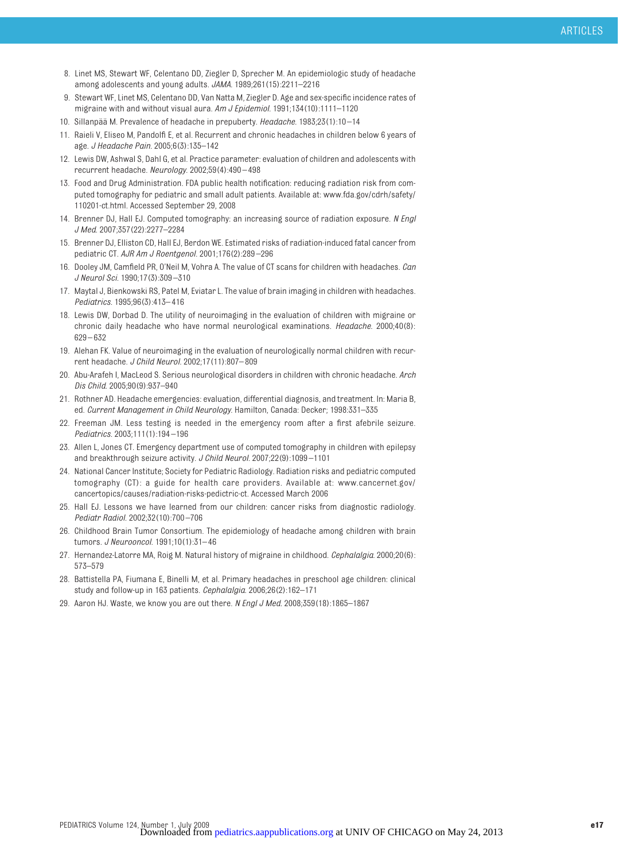- 8. Linet MS, Stewart WF, Celentano DD, Ziegler D, Sprecher M. An epidemiologic study of headache among adolescents and young adults. *JAMA.* 1989;261(15):2211–2216
- 9. Stewart WF, Linet MS, Celentano DD, Van Natta M, Ziegler D. Age and sex-specific incidence rates of migraine with and without visual aura. *Am J Epidemiol.* 1991;134(10):1111–1120
- 10. Sillanpää M. Prevalence of headache in prepuberty. *Headache*. 1983;23(1):10-14
- 11. Raieli V, Eliseo M, Pandolfi E, et al. Recurrent and chronic headaches in children below 6 years of age. *J Headache Pain.* 2005;6(3):135–142
- 12. Lewis DW, Ashwal S, Dahl G, et al. Practice parameter: evaluation of children and adolescents with recurrent headache. *Neurology.* 2002;59(4):490 – 498
- 13. Food and Drug Administration. FDA public health notification: reducing radiation risk from computed tomography for pediatric and small adult patients. Available at: www.fda.gov/cdrh/safety/ 110201-ct.html. Accessed September 29, 2008
- 14. Brenner DJ, Hall EJ. Computed tomography: an increasing source of radiation exposure. *N Engl J Med.* 2007;357(22):2277–2284
- 15. Brenner DJ, Elliston CD, Hall EJ, Berdon WE. Estimated risks of radiation-induced fatal cancer from pediatric CT. *AJR Am J Roentgenol.* 2001;176(2):289 –296
- 16. Dooley JM, Camfield PR, O'Neil M, Vohra A. The value of CT scans for children with headaches. *Can J Neurol Sci.* 1990;17(3):309 –310
- 17. Maytal J, Bienkowski RS, Patel M, Eviatar L. The value of brain imaging in children with headaches. *Pediatrics.* 1995;96(3):413– 416
- 18. Lewis DW, Dorbad D. The utility of neuroimaging in the evaluation of children with migraine or chronic daily headache who have normal neurological examinations. *Headache.* 2000;40(8): 629 – 632
- 19. Alehan FK. Value of neuroimaging in the evaluation of neurologically normal children with recurrent headache. *J Child Neurol.* 2002;17(11):807– 809
- 20. Abu-Arafeh I, MacLeod S. Serious neurological disorders in children with chronic headache. *Arch Dis Child.* 2005;90(9):937–940
- 21. Rothner AD. Headache emergencies: evaluation, differential diagnosis, and treatment. In: Maria B, ed. *Current Management in Child Neurology*. Hamilton, Canada: Decker; 1998:331–335
- 22. Freeman JM. Less testing is needed in the emergency room after a first afebrile seizure. *Pediatrics.* 2003;111(1):194 –196
- 23. Allen L, Jones CT. Emergency department use of computed tomography in children with epilepsy and breakthrough seizure activity. *J Child Neurol.* 2007;22(9):1099 –1101
- 24. National Cancer Institute; Society for Pediatric Radiology. Radiation risks and pediatric computed tomography (CT): a guide for health care providers. Available at: www.cancernet.gov/ cancertopics/causes/radiation-risks-pedictric-ct. Accessed March 2006
- 25. Hall EJ. Lessons we have learned from our children: cancer risks from diagnostic radiology. *Pediatr Radiol.* 2002;32(10):700 –706
- 26. Childhood Brain Tumor Consortium. The epidemiology of headache among children with brain tumors. *J Neurooncol.* 1991;10(1):31– 46
- 27. Hernandez-Latorre MA, Roig M. Natural history of migraine in childhood. *Cephalalgia.* 2000;20(6): 573–579
- 28. Battistella PA, Fiumana E, Binelli M, et al. Primary headaches in preschool age children: clinical study and follow-up in 163 patients. *Cephalalgia.* 2006;26(2):162–171
- 29. Aaron HJ. Waste, we know you are out there. *N Engl J Med.* 2008;359(18):1865–1867